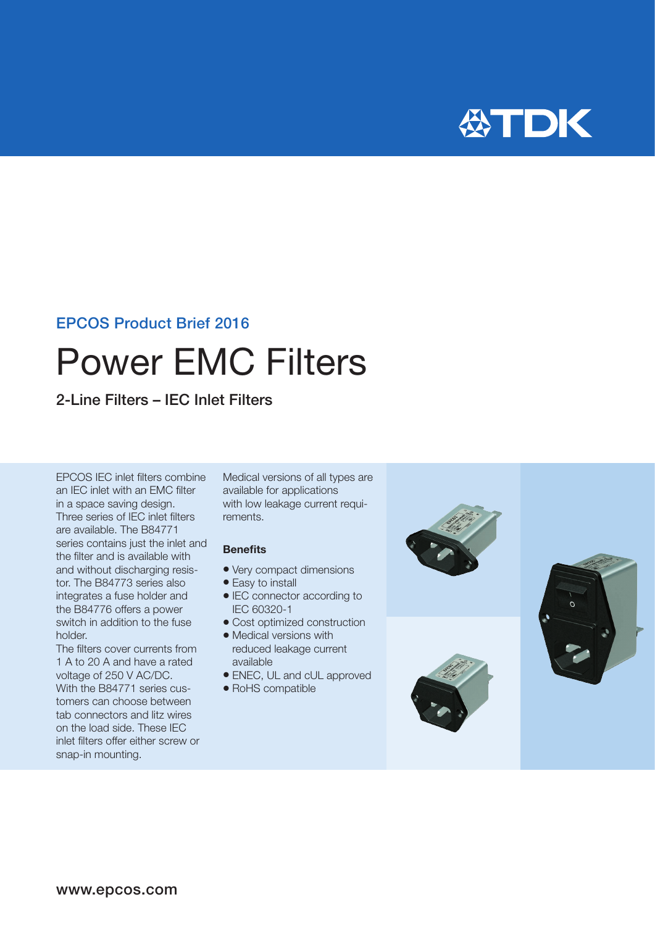

### EPCOS Product Brief 2016

# Power EMC Filters

2-Line Filters – IEC Inlet Filters

EPCOS IEC inlet filters combine an IEC inlet with an EMC filter in a space saving design. Three series of IEC inlet filters are available. The B84771 series contains just the inlet and the filter and is available with and without discharging resistor. The B84773 series also integrates a fuse holder and the B84776 offers a power switch in addition to the fuse holder.

The filters cover currents from 1 A to 20 A and have a rated voltage of 250 V AC/DC. With the B84771 series customers can choose between tab connectors and litz wires on the load side. These IEC inlet filters offer either screw or snap-in mounting.

Medical versions of all types are available for applications with low leakage current requirements.

#### **Benefits**

- Very compact dimensions
- Easy to install
- IEC connector according to IEC 60320-1
- Cost optimized construction
- Medical versions with reduced leakage current available
- ENEC, UL and cUL approved
- RoHS compatible





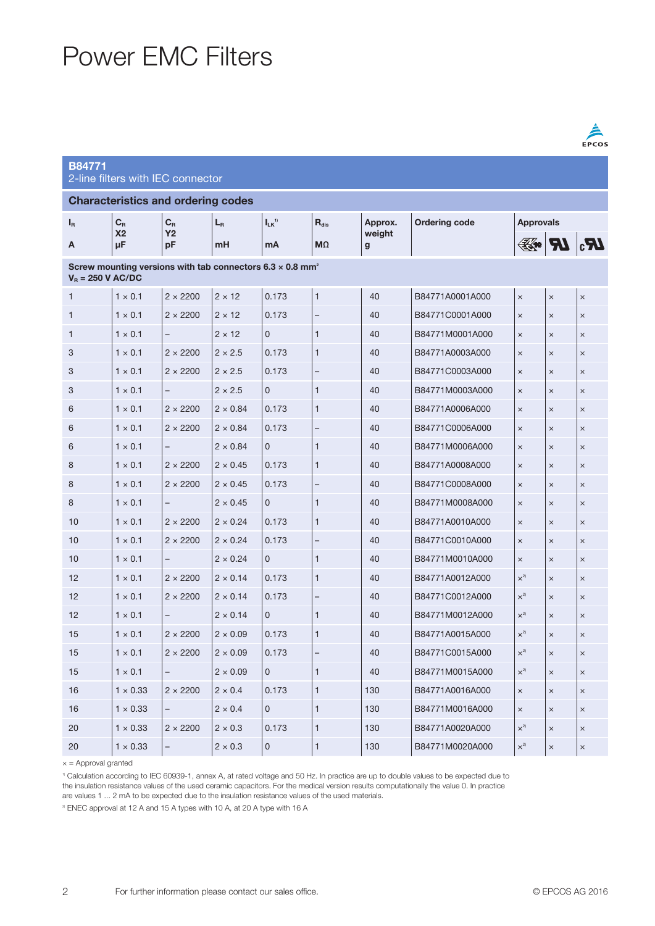# Power EMC Filters

connector

| B84771                       |  |
|------------------------------|--|
| 2-line filters with IEC $\,$ |  |

| <b>Characteristics and ordering codes</b>                                                           |                      |                           |                 |                        |                          |                        |                      |                              |          |          |
|-----------------------------------------------------------------------------------------------------|----------------------|---------------------------|-----------------|------------------------|--------------------------|------------------------|----------------------|------------------------------|----------|----------|
| $I_R$                                                                                               | $C_R$                | $\mathbf{C}_{\mathbf{R}}$ | $L_{R}$         | $I_{LK}$ <sup>1)</sup> | $R_{dis}$                | Approx.                | <b>Ordering code</b> | <b>Approvals</b>             |          |          |
| А                                                                                                   | X <sub>2</sub><br>μF | <b>Y2</b><br>pF           | mH              | mA                     | M <sub>2</sub>           | weight<br>$\mathbf{g}$ |                      | $\mathbb{R}$ of $\mathbb{R}$ |          |          |
| Screw mounting versions with tab connectors $6.3 \times 0.8$ mm <sup>2</sup><br>$V_B = 250$ V AC/DC |                      |                           |                 |                        |                          |                        |                      |                              |          |          |
| $\mathbf{1}$                                                                                        | $1 \times 0.1$       | $2 \times 2200$           | $2 \times 12$   | 0.173                  | $\mathbf{1}$             | 40                     | B84771A0001A000      | $\times$                     | $\times$ | $\times$ |
| 1                                                                                                   | $1 \times 0.1$       | $2 \times 2200$           | $2 \times 12$   | 0.173                  |                          | 40                     | B84771C0001A000      | $\times$                     | $\times$ | $\times$ |
| 1                                                                                                   | $1 \times 0.1$       |                           | $2 \times 12$   | $\Omega$               | $\mathbf{1}$             | 40                     | B84771M0001A000      | $\times$                     | $\times$ | $\times$ |
| 3                                                                                                   | $1 \times 0.1$       | $2 \times 2200$           | $2 \times 2.5$  | 0.173                  | 1                        | 40                     | B84771A0003A000      | $\times$                     | $\times$ | $\times$ |
| 3                                                                                                   | $1 \times 0.1$       | $2 \times 2200$           | $2 \times 2.5$  | 0.173                  | $\overline{\phantom{0}}$ | 40                     | B84771C0003A000      | $\times$                     | $\times$ | $\times$ |
| 3                                                                                                   | $1 \times 0.1$       |                           | $2 \times 2.5$  | 0                      | 1                        | 40                     | B84771M0003A000      | $\times$                     | $\times$ | $\times$ |
| 6                                                                                                   | $1 \times 0.1$       | $2 \times 2200$           | $2 \times 0.84$ | 0.173                  | 1                        | 40                     | B84771A0006A000      | $\times$                     | $\times$ | $\times$ |
| 6                                                                                                   | $1 \times 0.1$       | $2 \times 2200$           | $2 \times 0.84$ | 0.173                  |                          | 40                     | B84771C0006A000      | $\times$                     | $\times$ | $\times$ |
| 6                                                                                                   | $1 \times 0.1$       | $\overline{\phantom{0}}$  | $2 \times 0.84$ | $\Omega$               | 1                        | 40                     | B84771M0006A000      | $\times$                     | $\times$ | $\times$ |
| 8                                                                                                   | $1 \times 0.1$       | $2 \times 2200$           | $2 \times 0.45$ | 0.173                  | 1                        | 40                     | B84771A0008A000      | $\times$                     | $\times$ | $\times$ |
| 8                                                                                                   | $1 \times 0.1$       | $2 \times 2200$           | $2 \times 0.45$ | 0.173                  |                          | 40                     | B84771C0008A000      | $\times$                     | $\times$ | $\times$ |
| 8                                                                                                   | $1 \times 0.1$       |                           | $2 \times 0.45$ | $\mathbf{0}$           | 1                        | 40                     | B84771M0008A000      | $\times$                     | $\times$ | $\times$ |
| 10                                                                                                  | $1 \times 0.1$       | $2 \times 2200$           | $2 \times 0.24$ | 0.173                  | $\mathbf{1}$             | 40                     | B84771A0010A000      | $\times$                     | $\times$ | $\times$ |
| 10                                                                                                  | $1 \times 0.1$       | $2 \times 2200$           | $2 \times 0.24$ | 0.173                  |                          | 40                     | B84771C0010A000      | $\times$                     | $\times$ | $\times$ |
| 10                                                                                                  | $1 \times 0.1$       | $\overline{\phantom{0}}$  | $2 \times 0.24$ | 0                      | 1                        | 40                     | B84771M0010A000      | $\times$                     | $\times$ | $\times$ |
| 12                                                                                                  | $1 \times 0.1$       | $2 \times 2200$           | $2 \times 0.14$ | 0.173                  | 1                        | 40                     | B84771A0012A000      | $\times^{2}$                 | $\times$ | $\times$ |
| 12                                                                                                  | $1 \times 0.1$       | $2 \times 2200$           | $2 \times 0.14$ | 0.173                  |                          | 40                     | B84771C0012A000      | $\times^{2}$                 | $\times$ | $\times$ |
| 12                                                                                                  | $1 \times 0.1$       |                           | $2 \times 0.14$ | $\mathbf{0}$           | 1                        | 40                     | B84771M0012A000      | $\times^{2}$                 | $\times$ | $\times$ |
| 15                                                                                                  | $1 \times 0.1$       | $2 \times 2200$           | $2 \times 0.09$ | 0.173                  | $\mathbf{1}$             | 40                     | B84771A0015A000      | $\times^{2}$                 | $\times$ | $\times$ |
| 15                                                                                                  | $1 \times 0.1$       | $2 \times 2200$           | $2 \times 0.09$ | 0.173                  |                          | 40                     | B84771C0015A000      | $\times^{2}$                 | $\times$ | $\times$ |
| 15                                                                                                  | $1 \times 0.1$       |                           | $2 \times 0.09$ | $\mathbf{0}$           | $\mathbf{1}$             | 40                     | B84771M0015A000      | $\times^{2}$                 | $\times$ | $\times$ |
| 16                                                                                                  | $1 \times 0.33$      | $2 \times 2200$           | $2 \times 0.4$  | 0.173                  | 1                        | 130                    | B84771A0016A000      | $\times$                     | $\times$ | $\times$ |
| 16                                                                                                  | $1 \times 0.33$      |                           | $2 \times 0.4$  | $\mathbf{0}$           | $\mathbf{1}$             | 130                    | B84771M0016A000      | $\times$                     | $\times$ | $\times$ |
| 20                                                                                                  | $1 \times 0.33$      | $2 \times 2200$           | $2 \times 0.3$  | 0.173                  | $\mathbf{1}$             | 130                    | B84771A0020A000      | $\times^{2}$                 | $\times$ | $\times$ |
| 20                                                                                                  | $1 \times 0.33$      | $\overline{\phantom{0}}$  | $2 \times 0.3$  | $\Omega$               | 1                        | 130                    | B84771M0020A000      | $x^{2}$                      | $\times$ | $\times$ |

 $x =$  Approval granted

1) Calculation according to IEC 60939-1, annex A, at rated voltage and 50 Hz. In practice are up to double values to be expected due to the insulation resistance values of the used ceramic capacitors. For the medical version results computationally the value 0. In practice

are values 1 ... 2 mA to be expected due to the insulation resistance values of the used materials.

<sup>2)</sup> ENEC approval at 12 A and 15 A types with 10 A, at 20 A type with 16 A

 $\frac{\triangle}{EPCOS}$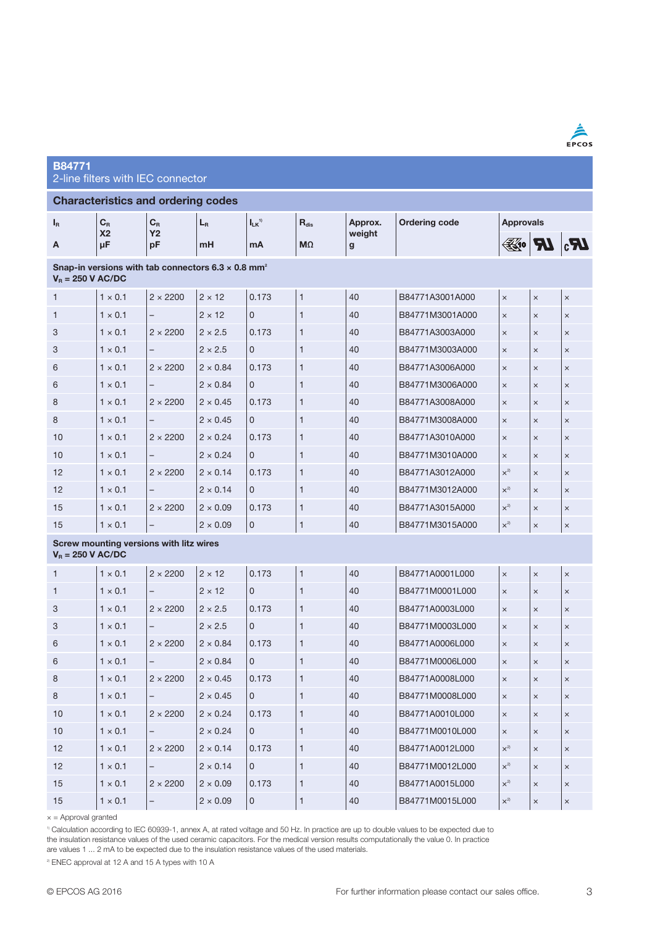| ≡<br>٠<br>г<br>c<br>Р |  |
|-----------------------|--|

### B84771 2-line filters with IEC connector

#### Characteristics and ordering codes  $I_{LK}$ <sup>1]</sup>  $R_{dis}$ Ordering code Approvals IR  $C_R$  $C_R$ LR Approx. X2 Y2 weight  $|H_0|$   $|H_0|$ MΩ A µF pF mH mA g Snap-in versions with tab connectors  $6.3 \times 0.8$  mm<sup>2</sup>  $V_R = 250$  V AC/DC  $1 \times 0.1$   $2 \times 2200$   $2 \times 12$  0.173 1 40 B84771A3001A000  $\times$   $\times$ 1  $1 \times 0.1$  –  $2 \times 12$  0 1 40 B84771M3001A000  $\times$   $\times$   $\times$ 3  $1 \times 0.1$   $2 \times 2200$   $2 \times 2.5$  0.173 1 40 B84771A3003A000  $\times$   $\times$   $\times$ 3 1 × 0.1 – 2 × 2.5 0 1 40 B84771M3003A000 × × × 6  $1 \times 0.1$   $2 \times 2200$   $2 \times 0.84$  0.173 1 40 B84771A3006A000  $\times$   $\times$   $\times$ 6  $|1 \times 0.1|$  –  $|2 \times 0.84|0|$  1 40 B84771M3006A000  $|x| \times |x|$ 8  $1 \times 0.1$   $2 \times 2200$   $2 \times 0.45$  0.173  $1$  40 B84771A3008A000  $\times$   $\times$ 8  $1 \times 0.1$  –  $2 \times 0.45$  0 1 40 B84771M3008A000  $\times$   $\times$   $\times$ 10  $1 \times 0.1$   $2 \times 2200$   $2 \times 0.24$  0.173 1 40 B84771A3010A000  $\times$   $\times$   $\times$ 10  $1 \times 0.1$  –  $2 \times 0.24$  0 1 40 B84771M3010A000  $\times$   $\times$   $\times$ 12  $1 \times 0.1$   $2 \times 2200$   $2 \times 0.14$   $0.173$  1  $40$  B84771A3012A000  $\vert x^2 \vert$  x  $\vert x \vert$ 12  $1 \times 0.1$  –  $2 \times 0.14$  0 1 40 B84771M3012A000  $\times^2$   $\times$   $\times$ 15  $|1 \times 0.1 |2 \times 2200 |2 \times 0.09 |0.173 |1$  40 B84771A3015A000  $|x^2 |x |^2$ 15  $|1 \times 0.1|$  –  $|2 \times 0.09|0|$  1 40 B84771M3015A000  $|x^2| \times |x|$ Screw mounting versions with litz wires  $V_R = 250$  V AC/DC 1  $\vert 1 \times 0.1 \vert 2 \times 2200 \vert 2 \times 12 \vert 0.173 \vert 1 \vert 40 \vert 884771A0001L000$ 1  $1 \times 0.1$  –  $2 \times 12$  0 1 40 B84771M0001L000  $\times$   $\times$   $\times$ 3  $1 \times 0.1$   $2 \times 2200$   $2 \times 2.5$  0.173 1 40 B84771A0003L000  $\times$   $\times$   $\times$ 3  $1 \times 0.1$  –  $2 \times 2.5$  0 1 40 B84771M0003L000  $\times$   $\times$   $\times$ 6  $1 \times 0.1$   $2 \times 2200$   $2 \times 0.84$  0.173 1 40 B84771A0006L000  $\times$   $\times$   $\times$ 6  $|1 \times 0.1|$  –  $|2 \times 0.84|0|$  1 40 B84771M0006L000  $|x| \times |x|$ 8  $1 \times 0.1$   $2 \times 2200$   $2 \times 0.45$  0.173 1 40 B84771A0008L000  $\times$   $\times$   $\times$ 8 1 × 0.1 – 2 × 0.45 0 1 40 B84771M0008L000 × × × 10  $1 \times 0.1$   $2 \times 2200$   $2 \times 0.24$  0.173 1 40 B84771A0010L000  $\times$   $\times$   $\times$ 10  $1 \times 0.1$  –  $2 \times 0.24$  0 11 40 B84771M0010L000  $\times$   $\times$   $\times$ 12  $1 \times 0.1$   $2 \times 2200$   $2 \times 0.14$   $0.173$  1  $40$  B84771A0012L000  $\vert x^2 \vert$  x  $\vert x \vert$ 12  $|1 \times 0.1|$  –  $|2 \times 0.14|$  0 1 40 B84771M0012L000  $|x^2|$  x  $|x|$ 15 1 × 0.1 2 × 2200 2 × 0.09 0.173 1 40 B84771A0015L000 ×2) × ×

 $x =$  Approval granted

1) Calculation according to IEC 60939-1, annex A, at rated voltage and 50 Hz. In practice are up to double values to be expected due to the insulation resistance values of the used ceramic capacitors. For the medical version results computationally the value 0. In practice are values 1 ... 2 mA to be expected due to the insulation resistance values of the used materials.

15  $|1 \times 0.1|$  –  $|2 \times 0.09|0|$  1 40 B84771M0015L000  $|x^2| \times |x|$ 

<sup>2)</sup> ENEC approval at 12 A and 15 A types with 10 A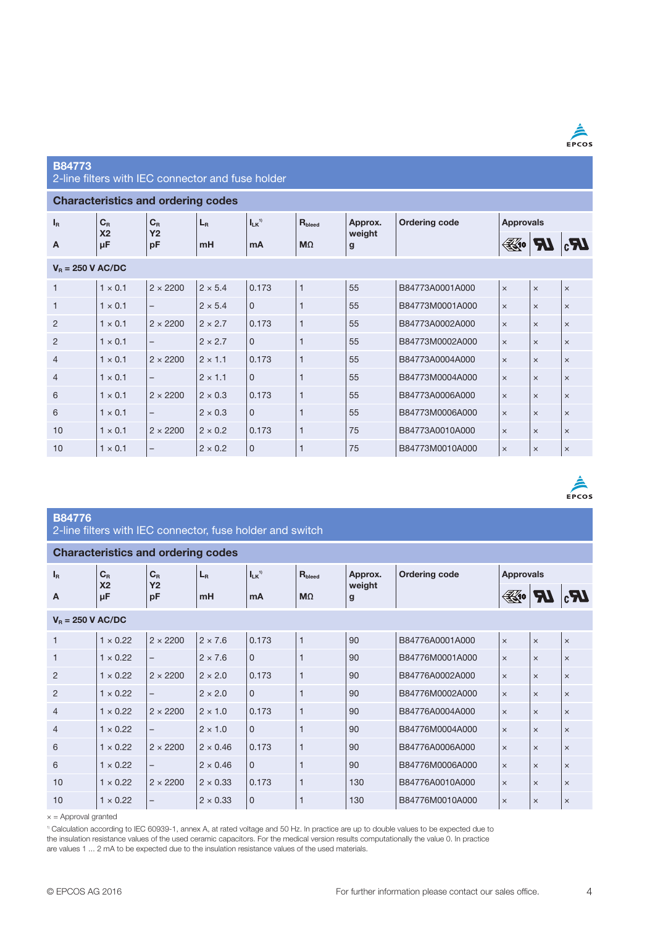

 $\frac{\hat{A}}{\text{EPCOS}}$ 

#### B84773

2-line filters with IEC connector and fuse holder

#### Characteristics and ordering codes

| $I_R$               | $C_R$<br>X <sub>2</sub> | $C_R$                    | $L_{R}$        | $I_{LK}$ <sup>1)</sup> | $R_{\text{bled}}$ | Approx.<br>weight<br>g |                 | <b>Ordering code</b> | <b>Approvals</b> |            |  |
|---------------------|-------------------------|--------------------------|----------------|------------------------|-------------------|------------------------|-----------------|----------------------|------------------|------------|--|
| A                   | μF                      | <b>Y2</b><br>pF          | m <sub>H</sub> | mA                     | $M\Omega$         |                        |                 | $\mathbb{K}$ 10      |                  | $I\!\!R_3$ |  |
| $V_B = 250$ V AC/DC |                         |                          |                |                        |                   |                        |                 |                      |                  |            |  |
| $\mathbf{1}$        | $1 \times 0.1$          | $2 \times 2200$          | $2 \times 5.4$ | 0.173                  | $\mathbf{1}$      | 55                     | B84773A0001A000 | $\times$             | $\times$         | $\times$   |  |
| $\mathbf{1}$        | $1 \times 0.1$          | -                        | $2 \times 5.4$ | $\mathbf{0}$           | $\overline{1}$    | 55                     | B84773M0001A000 | $\times$             | $\times$         | $\times$   |  |
| $\overline{2}$      | $1 \times 0.1$          | $2 \times 2200$          | $2 \times 2.7$ | 0.173                  | $\mathbf{1}$      | 55                     | B84773A0002A000 | $\times$             | $\times$         | $\times$   |  |
| $\overline{2}$      | $1 \times 0.1$          | -                        | $2 \times 2.7$ | $\mathbf{0}$           | 1                 | 55                     | B84773M0002A000 | $\times$             | $\times$         | $\times$   |  |
| $\overline{4}$      | $1 \times 0.1$          | $2 \times 2200$          | $2 \times 1.1$ | 0.173                  | $\mathbf{1}$      | 55                     | B84773A0004A000 | $\times$             | $\times$         | $\times$   |  |
| $\overline{4}$      | $1 \times 0.1$          | $\overline{\phantom{0}}$ | $2 \times 1.1$ | $\mathbf{0}$           | $\mathbf{1}$      | 55                     | B84773M0004A000 | $\times$             | $\times$         | $\times$   |  |
| 6                   | $1 \times 0.1$          | $2 \times 2200$          | $2 \times 0.3$ | 0.173                  | $\mathbf{1}$      | 55                     | B84773A0006A000 | $\times$             | $\times$         | $\times$   |  |
| 6                   | $1 \times 0.1$          | -                        | $2 \times 0.3$ | $\Omega$               | 1                 | 55                     | B84773M0006A000 | $\times$             | $\times$         | $\times$   |  |
| 10                  | $1 \times 0.1$          | $2 \times 2200$          | $2 \times 0.2$ | 0.173                  | $\mathbf{1}$      | 75                     | B84773A0010A000 | $\times$             | $\times$         | $\times$   |  |
| 10                  | $1 \times 0.1$          | -                        | $2 \times 0.2$ | $\mathbf 0$            | 1                 | 75                     | B84773M0010A000 | $\times$             | $\times$         | $\times$   |  |

#### B84776

|  | 2-line filters with IEC connector, fuse holder and switch |  |  |
|--|-----------------------------------------------------------|--|--|
|  |                                                           |  |  |

#### Characteristics and ordering codes

| $I_R$               | $C_R$                | $C_R$                    | $L_{R}$         | $I_{LK}$ <sup>1)</sup> | $R_{\text{beed}}$ | weight<br>g | Approx.         | <b>Ordering code</b> |          | <b>Approvals</b> |  |  |
|---------------------|----------------------|--------------------------|-----------------|------------------------|-------------------|-------------|-----------------|----------------------|----------|------------------|--|--|
| A                   | X <sub>2</sub><br>μF | <b>Y2</b><br>pF          | m <sub>H</sub>  | mA                     | $M\Omega$         |             |                 | $\mathbb{K}$ 10      |          | <b>A</b>         |  |  |
| $V_B = 250$ V AC/DC |                      |                          |                 |                        |                   |             |                 |                      |          |                  |  |  |
| $\mathbf{1}$        | $1 \times 0.22$      | $2 \times 2200$          | $2 \times 7.6$  | 0.173                  | $\mathbf{1}$      | 90          | B84776A0001A000 | $\times$             | $\times$ | $\times$         |  |  |
| $\mathbf{1}$        | $1 \times 0.22$      | $\overline{\phantom{m}}$ | $2 \times 7.6$  | $\mathbf 0$            | 1                 | 90          | B84776M0001A000 | $\times$             | $\times$ | $\times$         |  |  |
| $\overline{2}$      | $1 \times 0.22$      | $2 \times 2200$          | $2 \times 2.0$  | 0.173                  | $\mathbf{1}$      | 90          | B84776A0002A000 | $\times$             | $\times$ | $\times$         |  |  |
| $\overline{2}$      | $1 \times 0.22$      | $\qquad \qquad -$        | $2 \times 2.0$  | $\Omega$               | 1                 | 90          | B84776M0002A000 | $\times$             | $\times$ | $\times$         |  |  |
| $\overline{4}$      | $1 \times 0.22$      | $2 \times 2200$          | $2 \times 1.0$  | 0.173                  | $\mathbf{1}$      | 90          | B84776A0004A000 | $\times$             | $\times$ | $\times$         |  |  |
| $\overline{4}$      | $1 \times 0.22$      | -                        | $2 \times 1.0$  | $\Omega$               | 1                 | 90          | B84776M0004A000 | $\times$             | $\times$ | $\times$         |  |  |
| 6                   | $1 \times 0.22$      | $2 \times 2200$          | $2 \times 0.46$ | 0.173                  | $\mathbf{1}$      | 90          | B84776A0006A000 | $\times$             | $\times$ | $\times$         |  |  |
| 6                   | $1 \times 0.22$      | $\qquad \qquad -$        | $2 \times 0.46$ | $\Omega$               | 1                 | 90          | B84776M0006A000 | $\times$             | $\times$ | $\times$         |  |  |
| 10                  | $1 \times 0.22$      | $2 \times 2200$          | $2 \times 0.33$ | 0.173                  | $\mathbf{1}$      | 130         | B84776A0010A000 | $\times$             | $\times$ | $\times$         |  |  |
| 10                  | $1 \times 0.22$      | -                        | $2 \times 0.33$ | $\overline{0}$         |                   | 130         | B84776M0010A000 | $\times$             | $\times$ | $\times$         |  |  |

 $x =$  Approval granted

1) Calculation according to IEC 60939-1, annex A, at rated voltage and 50 Hz. In practice are up to double values to be expected due to the insulation resistance values of the used ceramic capacitors. For the medical version results computationally the value 0. In practice are values 1 ... 2 mA to be expected due to the insulation resistance values of the used materials.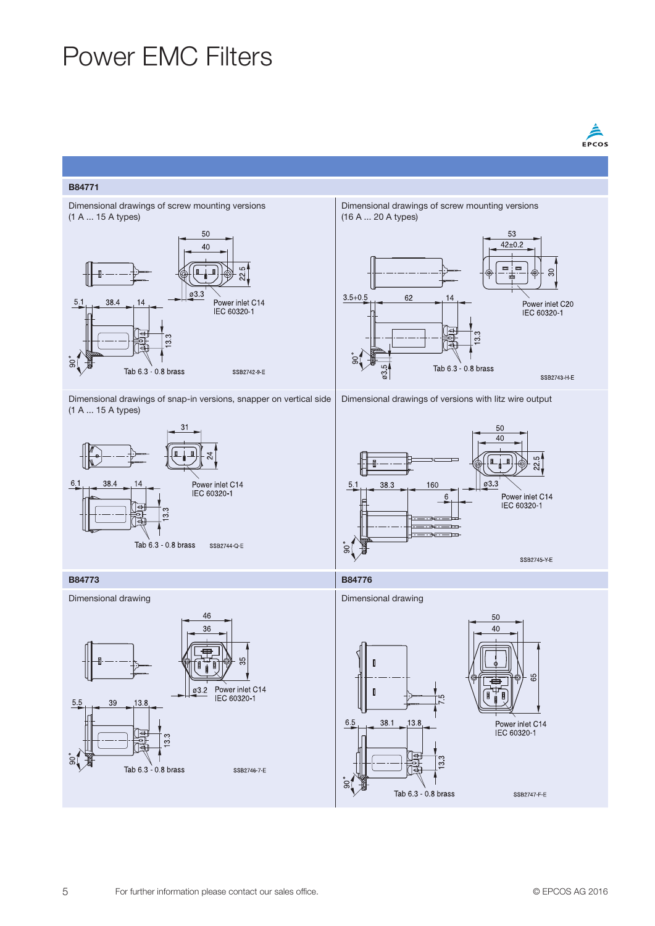## Power EMC Filters



#### B84771



Dimensional drawings of snap-in versions, snapper on vertical side (1 A ... 15 A types)







Dimensional drawings of versions with litz wire output



#### B84773 B84776